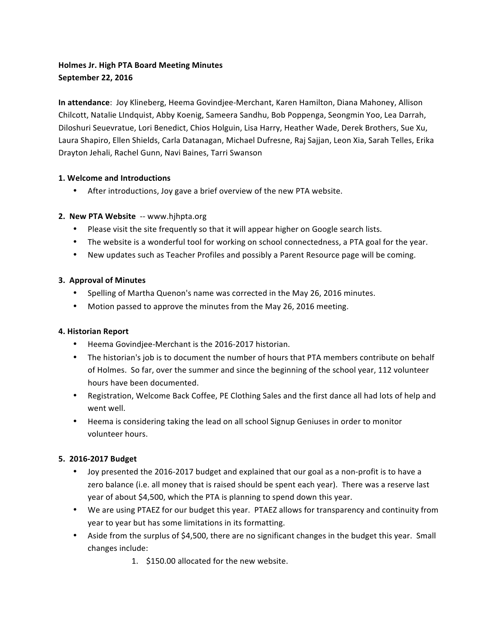# **Holmes Jr. High PTA Board Meeting Minutes September 22, 2016**

**In attendance**: Joy Klineberg, Heema Govindjee-Merchant, Karen Hamilton, Diana Mahoney, Allison Chilcott, Natalie LIndquist, Abby Koenig, Sameera Sandhu, Bob Poppenga, Seongmin Yoo, Lea Darrah, Diloshuri Seuevratue, Lori Benedict, Chios Holguin, Lisa Harry, Heather Wade, Derek Brothers, Sue Xu, Laura Shapiro, Ellen Shields, Carla Datanagan, Michael Dufresne, Raj Sajjan, Leon Xia, Sarah Telles, Erika Drayton Jehali, Rachel Gunn, Navi Baines, Tarri Swanson

# **1. Welcome and Introductions**

After introductions, Joy gave a brief overview of the new PTA website.

# **2. New PTA Website** -- www.hihpta.org

- Please visit the site frequently so that it will appear higher on Google search lists.
- The website is a wonderful tool for working on school connectedness, a PTA goal for the year.
- New updates such as Teacher Profiles and possibly a Parent Resource page will be coming.

### **3. Approval of Minutes**

- Spelling of Martha Quenon's name was corrected in the May 26, 2016 minutes.
- Motion passed to approve the minutes from the May 26, 2016 meeting.

#### **4. Historian Report**

- Heema Govindjee-Merchant is the 2016-2017 historian.
- The historian's job is to document the number of hours that PTA members contribute on behalf of Holmes. So far, over the summer and since the beginning of the school year, 112 volunteer hours have been documented.
- Registration, Welcome Back Coffee, PE Clothing Sales and the first dance all had lots of help and went well.
- Heema is considering taking the lead on all school Signup Geniuses in order to monitor volunteer hours.

# **5. 2016-2017 Budget**

- Joy presented the 2016-2017 budget and explained that our goal as a non-profit is to have a zero balance (i.e. all money that is raised should be spent each year). There was a reserve last year of about \$4,500, which the PTA is planning to spend down this year.
- We are using PTAEZ for our budget this year. PTAEZ allows for transparency and continuity from year to year but has some limitations in its formatting.
- Aside from the surplus of \$4,500, there are no significant changes in the budget this year. Small changes include:
	- 1. \$150.00 allocated for the new website.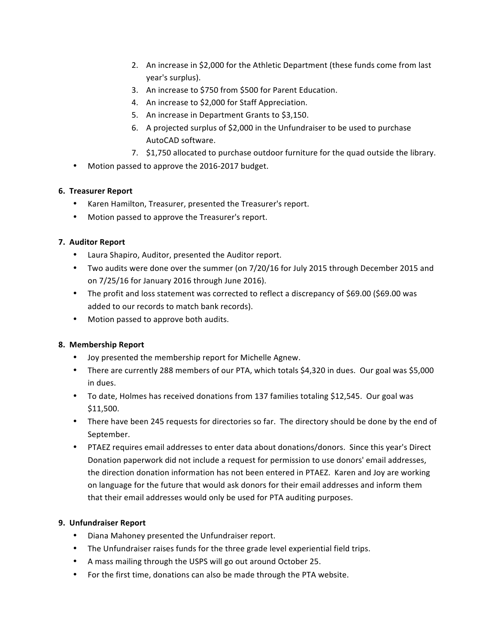- 2. An increase in \$2,000 for the Athletic Department (these funds come from last year's surplus).
- 3. An increase to \$750 from \$500 for Parent Education.
- 4. An increase to \$2,000 for Staff Appreciation.
- 5. An increase in Department Grants to \$3,150.
- 6. A projected surplus of \$2,000 in the Unfundraiser to be used to purchase AutoCAD software.
- 7. \$1,750 allocated to purchase outdoor furniture for the quad outside the library.
- Motion passed to approve the 2016-2017 budget.

### **6. Treasurer Report**

- Karen Hamilton, Treasurer, presented the Treasurer's report.
- Motion passed to approve the Treasurer's report.

### **7. Auditor Report**

- Laura Shapiro, Auditor, presented the Auditor report.
- Two audits were done over the summer (on 7/20/16 for July 2015 through December 2015 and on 7/25/16 for January 2016 through June 2016).
- The profit and loss statement was corrected to reflect a discrepancy of \$69.00 (\$69.00 was added to our records to match bank records).
- Motion passed to approve both audits.

# **8. Membership Report**

- Joy presented the membership report for Michelle Agnew.
- There are currently 288 members of our PTA, which totals \$4,320 in dues. Our goal was \$5,000 in dues.
- To date, Holmes has received donations from 137 families totaling \$12,545. Our goal was \$11,500.
- There have been 245 requests for directories so far. The directory should be done by the end of September.
- PTAEZ requires email addresses to enter data about donations/donors. Since this year's Direct Donation paperwork did not include a request for permission to use donors' email addresses, the direction donation information has not been entered in PTAEZ. Karen and Joy are working on language for the future that would ask donors for their email addresses and inform them that their email addresses would only be used for PTA auditing purposes.

# **9. Unfundraiser Report**

- Diana Mahoney presented the Unfundraiser report.
- The Unfundraiser raises funds for the three grade level experiential field trips.
- A mass mailing through the USPS will go out around October 25.
- For the first time, donations can also be made through the PTA website.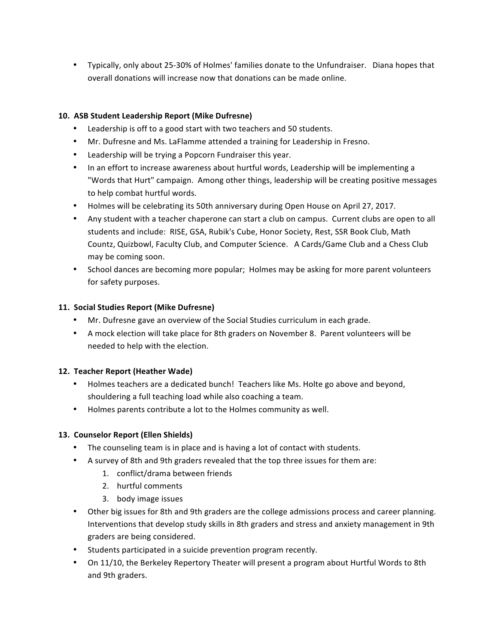• Typically, only about 25-30% of Holmes' families donate to the Unfundraiser. Diana hopes that overall donations will increase now that donations can be made online.

### **10. ASB Student Leadership Report (Mike Dufresne)**

- Leadership is off to a good start with two teachers and 50 students.
- Mr. Dufresne and Ms. LaFlamme attended a training for Leadership in Fresno.
- Leadership will be trying a Popcorn Fundraiser this year.
- In an effort to increase awareness about hurtful words, Leadership will be implementing a "Words that Hurt" campaign. Among other things, leadership will be creating positive messages to help combat hurtful words.
- Holmes will be celebrating its 50th anniversary during Open House on April 27, 2017.
- Any student with a teacher chaperone can start a club on campus. Current clubs are open to all students and include: RISE, GSA, Rubik's Cube, Honor Society, Rest, SSR Book Club, Math Countz, Quizbowl, Faculty Club, and Computer Science. A Cards/Game Club and a Chess Club may be coming soon.
- School dances are becoming more popular; Holmes may be asking for more parent volunteers for safety purposes.

#### 11. Social Studies Report (Mike Dufresne)

- Mr. Dufresne gave an overview of the Social Studies curriculum in each grade.
- A mock election will take place for 8th graders on November 8. Parent volunteers will be needed to help with the election.

#### 12. Teacher Report (Heather Wade)

- Holmes teachers are a dedicated bunch! Teachers like Ms. Holte go above and beyond, shouldering a full teaching load while also coaching a team.
- Holmes parents contribute a lot to the Holmes community as well.

#### 13. Counselor Report (Ellen Shields)

- The counseling team is in place and is having a lot of contact with students.
- A survey of 8th and 9th graders revealed that the top three issues for them are:
	- 1. conflict/drama between friends
	- 2. hurtful comments
	- 3. body image issues
- Other big issues for 8th and 9th graders are the college admissions process and career planning. Interventions that develop study skills in 8th graders and stress and anxiety management in 9th graders are being considered.
- Students participated in a suicide prevention program recently.
- On 11/10, the Berkeley Repertory Theater will present a program about Hurtful Words to 8th and 9th graders.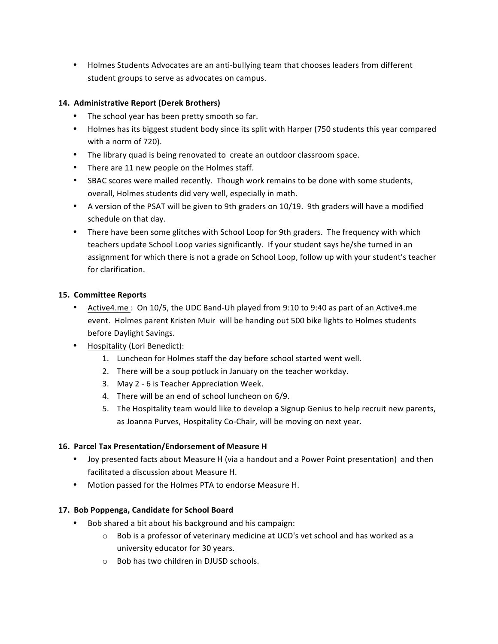• Holmes Students Advocates are an anti-bullying team that chooses leaders from different student groups to serve as advocates on campus.

# 14. Administrative Report (Derek Brothers)

- The school year has been pretty smooth so far.
- Holmes has its biggest student body since its split with Harper (750 students this year compared with a norm of 720).
- The library quad is being renovated to create an outdoor classroom space.
- There are 11 new people on the Holmes staff.
- SBAC scores were mailed recently. Though work remains to be done with some students, overall, Holmes students did very well, especially in math.
- A version of the PSAT will be given to 9th graders on 10/19. 9th graders will have a modified schedule on that day.
- There have been some glitches with School Loop for 9th graders. The frequency with which teachers update School Loop varies significantly. If your student says he/she turned in an assignment for which there is not a grade on School Loop, follow up with your student's teacher for clarification.

### **15. Committee Reports**

- Active4.me : On 10/5, the UDC Band-Uh played from 9:10 to 9:40 as part of an Active4.me event. Holmes parent Kristen Muir will be handing out 500 bike lights to Holmes students before Daylight Savings.
- Hospitality (Lori Benedict):
	- 1. Luncheon for Holmes staff the day before school started went well.
	- 2. There will be a soup potluck in January on the teacher workday.
	- 3. May 2 6 is Teacher Appreciation Week.
	- 4. There will be an end of school luncheon on 6/9.
	- 5. The Hospitality team would like to develop a Signup Genius to help recruit new parents, as Joanna Purves, Hospitality Co-Chair, will be moving on next year.

#### 16. Parcel Tax Presentation/Endorsement of Measure H

- Joy presented facts about Measure H (via a handout and a Power Point presentation) and then facilitated a discussion about Measure H.
- Motion passed for the Holmes PTA to endorse Measure H.

#### 17. Bob Poppenga, Candidate for School Board

- Bob shared a bit about his background and his campaign:
	- $\circ$  Bob is a professor of veterinary medicine at UCD's vet school and has worked as a university educator for 30 years.
	- $\circ$  Bob has two children in DJUSD schools.